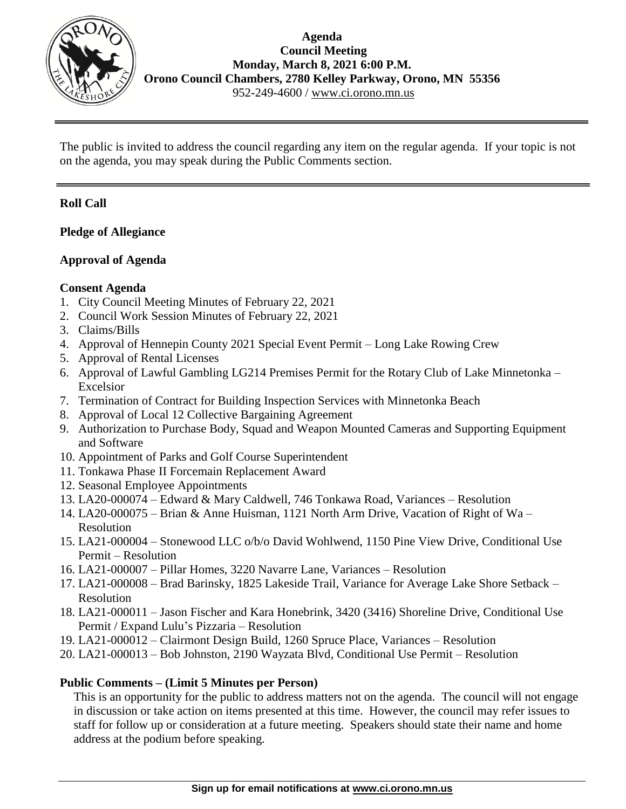

The public is invited to address the council regarding any item on the regular agenda. If your topic is not on the agenda, you may speak during the Public Comments section.

# **Roll Call**

**Pledge of Allegiance**

### **Approval of Agenda**

#### **Consent Agenda**

- 1. City Council Meeting Minutes of February 22, 2021
- 2. Council Work Session Minutes of February 22, 2021
- 3. Claims/Bills
- 4. Approval of Hennepin County 2021 Special Event Permit Long Lake Rowing Crew
- 5. Approval of Rental Licenses
- 6. Approval of Lawful Gambling LG214 Premises Permit for the Rotary Club of Lake Minnetonka Excelsior
- 7. Termination of Contract for Building Inspection Services with Minnetonka Beach
- 8. Approval of Local 12 Collective Bargaining Agreement
- 9. Authorization to Purchase Body, Squad and Weapon Mounted Cameras and Supporting Equipment and Software
- 10. Appointment of Parks and Golf Course Superintendent
- 11. Tonkawa Phase II Forcemain Replacement Award
- 12. Seasonal Employee Appointments
- 13. LA20-000074 Edward & Mary Caldwell, 746 Tonkawa Road, Variances Resolution
- 14. LA20-000075 Brian & Anne Huisman, 1121 North Arm Drive, Vacation of Right of Wa Resolution
- 15. LA21-000004 Stonewood LLC o/b/o David Wohlwend, 1150 Pine View Drive, Conditional Use Permit – Resolution
- 16. LA21-000007 Pillar Homes, 3220 Navarre Lane, Variances Resolution
- 17. LA21-000008 Brad Barinsky, 1825 Lakeside Trail, Variance for Average Lake Shore Setback Resolution
- 18. LA21-000011 Jason Fischer and Kara Honebrink, 3420 (3416) Shoreline Drive, Conditional Use Permit / Expand Lulu's Pizzaria – Resolution
- 19. LA21-000012 Clairmont Design Build, 1260 Spruce Place, Variances Resolution
- 20. LA21-000013 Bob Johnston, 2190 Wayzata Blvd, Conditional Use Permit Resolution

### **Public Comments – (Limit 5 Minutes per Person)**

This is an opportunity for the public to address matters not on the agenda. The council will not engage in discussion or take action on items presented at this time. However, the council may refer issues to staff for follow up or consideration at a future meeting. Speakers should state their name and home address at the podium before speaking.